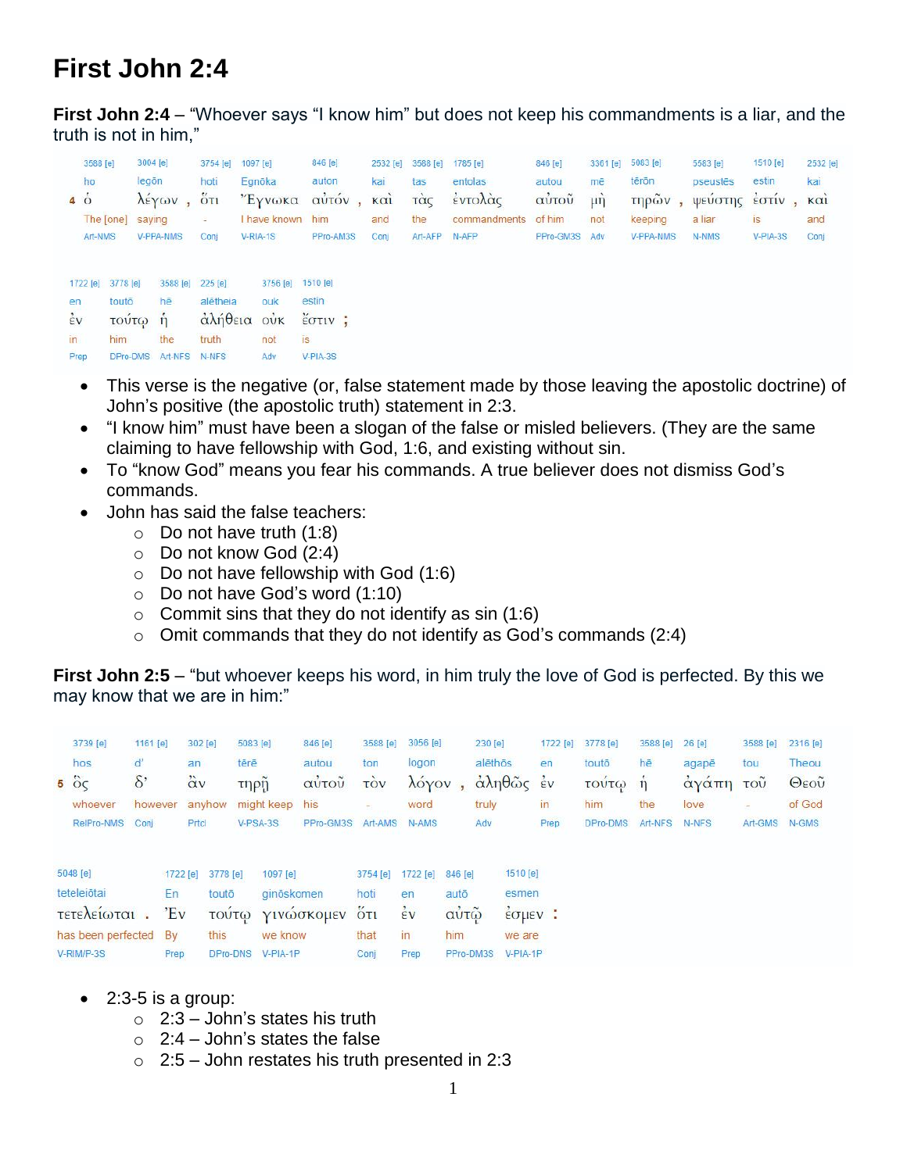## **First John 2:4**

**First John 2:4** – "Whoever says "I know him" but does not keep his commandments is a liar, and the truth is not in him,"

| 3588 [e]<br>ho |           | 3004 [e]<br>legõn |           | 1097 [e]<br>3754 [e]<br>Egnōka<br>hoti |                  | 846 [e]<br>auton                     | 2532 [e]<br>kai | 3588 [e] | $1785$ [e]   | 846 [e]<br>autou | 3361 [e]<br>mē   | 5083 [e]  | <b>CAR HOOK CONTROL</b><br>5583 [e] | 1510 [e] | 2532 [e]   |
|----------------|-----------|-------------------|-----------|----------------------------------------|------------------|--------------------------------------|-----------------|----------|--------------|------------------|------------------|-----------|-------------------------------------|----------|------------|
|                |           |                   |           |                                        |                  |                                      |                 | tas      | entolas      |                  |                  | tērōn     | pseustēs                            | estin    | kai        |
| $4\dot{\circ}$ |           |                   | λέγων,    | $5\overline{0}$                        | "Έγνωκα          | αὐτόν,                               | KCI             | τὰς      | έντολάς      | αύτοῦ            | $\mu \dot{\eta}$ | τηρῶν,    | ψευστης εστιν                       |          | $K \alpha$ |
|                | The [one] | saying            |           | $\equiv$                               | I have known him |                                      | and             | the      | commandments | of him           | not              | keeping   | a liar                              | is:      | and        |
|                | Art-NMS   |                   | V-PPA-NMS | Conj                                   | V-RIA-1S         | PPro-AM3S                            | Conj            | Art-AFP  | N-AFP        | PPro-GM3S Adv    |                  | V-PPA-NMS | N-NMS<br>39132022                   | V-PIA-3S | Conj       |
|                | 1722 [e]  | 3778 [e]          | 3588 [e]  | 225 [e]                                | 3756 [e]         | 1510 [e]                             |                 |          |              |                  |                  |           |                                     |          |            |
| en             |           | toutō             | hē        | alētheia                               | ouk              | estin                                |                 |          |              |                  |                  |           |                                     |          |            |
| $\frac{1}{2}v$ |           | τουτω η           |           |                                        | άλήθεια ούκ      | $\frac{v}{2}$ $\sigma$ $\frac{v}{2}$ |                 |          |              |                  |                  |           |                                     |          |            |
| $\overline{m}$ |           | him               | the       | truth                                  | not              | <b>is</b>                            |                 |          |              |                  |                  |           |                                     |          |            |
| Prep           |           | DPro-DMS          | Art-NFS   | N-NFS                                  | Adv              | $V-PIA-3S$                           |                 |          |              |                  |                  |           |                                     |          |            |

- This verse is the negative (or, false statement made by those leaving the apostolic doctrine) of John's positive (the apostolic truth) statement in 2:3.
- "I know him" must have been a slogan of the false or misled believers. (They are the same claiming to have fellowship with God, 1:6, and existing without sin.
- To "know God" means you fear his commands. A true believer does not dismiss God's commands.
- John has said the false teachers:
	- $\circ$  Do not have truth (1:8)
	- o Do not know God (2:4)
	- o Do not have fellowship with God (1:6)
	- $\circ$  Do not have God's word (1:10)
	- $\circ$  Commit sins that they do not identify as sin (1:6)
	- $\circ$  Omit commands that they do not identify as God's commands (2:4)

**First John 2:5** – "but whoever keeps his word, in him truly the love of God is perfected. By this we may know that we are in him:"

|                       | 3739 [e]             | 1161 [e] |          | 302 [e]           | 5083 [e]            |            | 846 [e]   | 3588 [e]       | 3056 [e] |            | 230 [e]                                                          |                                              | 1722 [e]     | 3778 [e] | 3588 [e] | $26$ [e] | 3588 [e]                 | 2316 [e] |
|-----------------------|----------------------|----------|----------|-------------------|---------------------|------------|-----------|----------------|----------|------------|------------------------------------------------------------------|----------------------------------------------|--------------|----------|----------|----------|--------------------------|----------|
|                       | hos                  | ď        | an       |                   | tērē                |            | autou     | ton            | logon    |            | alēthōs                                                          |                                              | en           | toutō    | hē       | agapē    | tou                      | Theou    |
|                       | $5\degree$ $\degree$ | $\delta$ |          | $\ddot{\alpha}$ v | τηρη                |            | αὐτοῦ     | τòν            | λόγον    |            |                                                                  | $\alpha\lambda\eta\theta\tilde{\omega}\zeta$ | $\epsilon$ v | τουτω η  |          | αγαπη    | τοῦ                      | Θεοῦ     |
|                       | whoever              | however  |          | anyhow            |                     | might keep | his       |                | word     |            | truly                                                            |                                              | in           | him      | the      | love     | $\overline{\phantom{a}}$ | of God   |
|                       | RelPro-NMS           | Conj     |          | Prtcl             |                     | $V-PSA-3S$ | PPro-GM3S | Art-AMS        | N-AMS    |            | Adv                                                              |                                              | Prep         | DPro-DMS | Art-NFS  | N-NFS    | Art-GMS                  | N-GMS    |
|                       |                      |          |          |                   |                     |            |           |                |          |            |                                                                  |                                              |              |          |          |          |                          |          |
|                       | 5048 [e]             |          | 1722 [e] | 3778 [e]          |                     | 1097 [e]   |           | 3754 [e]       | 1722 [e] | 846 [e]    |                                                                  | 1510 [e]                                     |              |          |          |          |                          |          |
|                       | teteleiōtai          |          | En       |                   | ginöskomen<br>toutō |            |           | hoti           |          | autō<br>en |                                                                  | esmen                                        |              |          |          |          |                          |          |
| τετελείωται.          |                      | $E_v$    |          | <b>TOUT()</b>     |                     | γινώσκομεν | 5T1       | $\frac{1}{2}v$ | αυτω     |            | $\frac{1}{2}$ $\sigma$ $\mu$ $\epsilon$ $\upsilon$ $\frac{1}{2}$ |                                              |              |          |          |          |                          |          |
| has been perfected By |                      |          |          | this              | we know             |            |           | that           | in       | him        |                                                                  | we are                                       |              |          |          |          |                          |          |
| V-RIM/P-3S            |                      | Prep     | DPro-DNS |                   | $V-PIA-1P$          |            | Conj      | Prep           |          | PPro-DM3S  | $V-PIA-1P$                                                       |                                              |              |          |          |          |                          |          |

- $\bullet$  2:3-5 is a group:
	- $\circ$  2:3 John's states his truth
	- $\circ$  2:4 John's states the false
	- $\circ$  2:5 John restates his truth presented in 2:3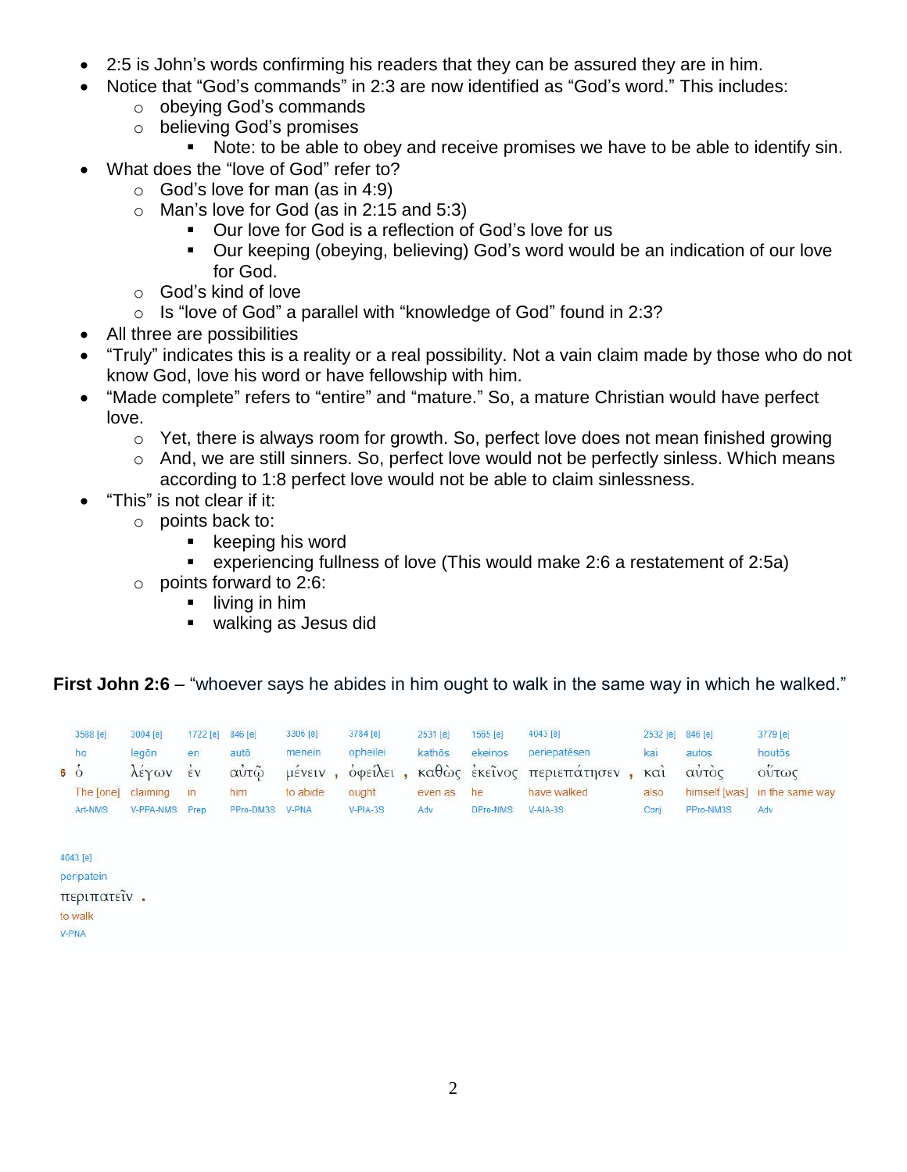- 2:5 is John's words confirming his readers that they can be assured they are in him.
- Notice that "God's commands" in 2:3 are now identified as "God's word." This includes:
	- o obeying God's commands
	- o believing God's promises
		- Note: to be able to obey and receive promises we have to be able to identify sin.
- What does the "love of God" refer to?
	- $\circ$  God's love for man (as in 4:9)
	- $\circ$  Man's love for God (as in 2:15 and 5:3)
		- Our love for God is a reflection of God's love for us
		- Our keeping (obeying, believing) God's word would be an indication of our love for God.
	- o God's kind of love
	- o Is "love of God" a parallel with "knowledge of God" found in 2:3?
- All three are possibilities
- "Truly" indicates this is a reality or a real possibility. Not a vain claim made by those who do not know God, love his word or have fellowship with him.
- "Made complete" refers to "entire" and "mature." So, a mature Christian would have perfect love.
	- o Yet, there is always room for growth. So, perfect love does not mean finished growing
	- o And, we are still sinners. So, perfect love would not be perfectly sinless. Which means according to 1:8 perfect love would not be able to claim sinlessness.
- "This" is not clear if it:
	- o points back to:
		- $\blacksquare$  keeping his word
		- experiencing fullness of love (This would make 2:6 a restatement of 2:5a)
	- $\circ$  points forward to 2:6:
		- $\blacksquare$  living in him
		- walking as Jesus did

## **First John 2:6** – "whoever says he abides in him ought to walk in the same way in which he walked."

| 3588 [e]<br>ho<br>$6\acute{o}$ | の中につきになる。<br>3004 [e]<br>legōn      | 1722 [e]<br>en<br>$\frac{1}{2}v$ | <b>Voltage Cardial</b><br>846 [e]<br>autō<br>αὐτῷ | 3306 [e]<br>menein<br>μένειν | 3784 [e]<br>opheilei<br><b>O</b> φείλει | 2531 [e]<br>kathōs | 1565 [e]<br>ekeinos | 4043 [e]<br>periepatēsen<br>καθώς έκείνος περιεπάτησεν | 2532 [e]<br>kai     | 846 [e]<br>autos                    | <b>Production Product</b><br>3779 [e]<br>houtos<br>ούτως |
|--------------------------------|-------------------------------------|----------------------------------|---------------------------------------------------|------------------------------|-----------------------------------------|--------------------|---------------------|--------------------------------------------------------|---------------------|-------------------------------------|----------------------------------------------------------|
| The [one]<br>Art-NMS           | λέγων<br>claiming<br>V-PPA-NMS Prep | in                               | him<br>PPro-DM3S                                  | to abide<br>V-PNA            | ought<br>V-PIA-3S                       | even as<br>Adv     | he<br>DPro-NMS      | have walked<br>$V-AIA-3S$                              | KCl<br>also<br>Conj | αυτος<br>himself [was]<br>PPro-NM3S | in the same way<br>Adv                                   |
| 4043 [e]<br>peripatein         |                                     |                                  |                                                   |                              |                                         |                    |                     |                                                        |                     |                                     |                                                          |